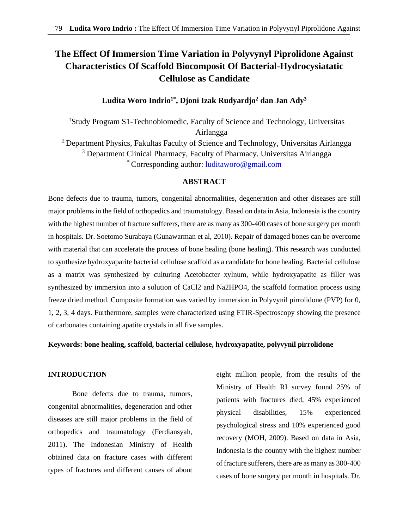# **The Effect Of Immersion Time Variation in Polyvynyl Piprolidone Against Characteristics Of Scaffold Biocomposit Of Bacterial-Hydrocysiatatic Cellulose as Candidate**

# **Ludita Woro Indrio1\*, Djoni Izak Rudyardjo<sup>2</sup> dan Jan Ady<sup>3</sup>**

<sup>1</sup>Study Program S1-Technobiomedic, Faculty of Science and Technology, Universitas Airlangga <sup>2</sup> Department Physics, Fakultas Faculty of Science and Technology, Universitas Airlangga <sup>3</sup> Department Clinical Pharmacy, Faculty of Pharmacy, Universitas Airlangga \* Corresponding author: [luditaworo@gmail.com](mailto:luditaworo@gmail.com)

## **ABSTRACT**

Bone defects due to trauma, tumors, congenital abnormalities, degeneration and other diseases are still major problems in the field of orthopedics and traumatology. Based on data in Asia, Indonesia is the country with the highest number of fracture sufferers, there are as many as 300-400 cases of bone surgery per month in hospitals. Dr. Soetomo Surabaya (Gunawarman et al, 2010). Repair of damaged bones can be overcome with material that can accelerate the process of bone healing (bone healing). This research was conducted to synthesize hydroxyaparite bacterial cellulose scaffold as a candidate for bone healing. Bacterial cellulose as a matrix was synthesized by culturing Acetobacter xylnum, while hydroxyapatite as filler was synthesized by immersion into a solution of CaCl2 and Na2HPO4, the scaffold formation process using freeze dried method. Composite formation was varied by immersion in Polyvynil pirrolidone (PVP) for 0, 1, 2, 3, 4 days. Furthermore, samples were characterized using FTIR-Spectroscopy showing the presence of carbonates containing apatite crystals in all five samples.

#### **Keywords: bone healing, scaffold, bacterial cellulose, hydroxyapatite, polyvynil pirrolidone**

# **INTRODUCTION**

Bone defects due to trauma, tumors, congenital abnormalities, degeneration and other diseases are still major problems in the field of orthopedics and traumatology (Ferdiansyah, 2011). The Indonesian Ministry of Health obtained data on fracture cases with different types of fractures and different causes of about eight million people, from the results of the Ministry of Health RI survey found 25% of patients with fractures died, 45% experienced physical disabilities, 15% experienced psychological stress and 10% experienced good recovery (MOH, 2009). Based on data in Asia, Indonesia is the country with the highest number of fracture sufferers, there are as many as 300-400 cases of bone surgery per month in hospitals. Dr.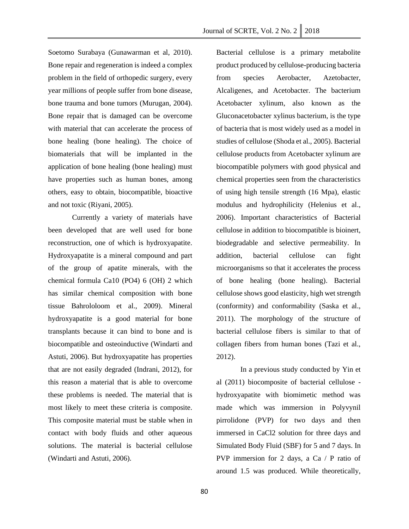Journal of SCRTE, Vol. 2 No. 2  $\vert$  2018

Soetomo Surabaya (Gunawarman et al, 2010). Bone repair and regeneration is indeed a complex problem in the field of orthopedic surgery, every year millions of people suffer from bone disease, bone trauma and bone tumors (Murugan, 2004). Bone repair that is damaged can be overcome with material that can accelerate the process of bone healing (bone healing). The choice of biomaterials that will be implanted in the application of bone healing (bone healing) must have properties such as human bones, among others, easy to obtain, biocompatible, bioactive and not toxic (Riyani, 2005).

Currently a variety of materials have been developed that are well used for bone reconstruction, one of which is hydroxyapatite. Hydroxyapatite is a mineral compound and part of the group of apatite minerals, with the chemical formula Ca10 (PO4) 6 (OH) 2 which has similar chemical composition with bone tissue Bahrololoom et al., 2009). Mineral hydroxyapatite is a good material for bone transplants because it can bind to bone and is biocompatible and osteoinductive (Windarti and Astuti, 2006). But hydroxyapatite has properties that are not easily degraded (Indrani, 2012), for this reason a material that is able to overcome these problems is needed. The material that is most likely to meet these criteria is composite. This composite material must be stable when in contact with body fluids and other aqueous solutions. The material is bacterial cellulose (Windarti and Astuti, 2006).

Bacterial cellulose is a primary metabolite product produced by cellulose-producing bacteria from species Aerobacter, Azetobacter, Alcaligenes, and Acetobacter. The bacterium Acetobacter xylinum, also known as the Gluconacetobacter xylinus bacterium, is the type of bacteria that is most widely used as a model in studies of cellulose (Shoda et al., 2005). Bacterial cellulose products from Acetobacter xylinum are biocompatible polymers with good physical and chemical properties seen from the characteristics of using high tensile strength (16 Mpa), elastic modulus and hydrophilicity (Helenius et al., 2006). Important characteristics of Bacterial cellulose in addition to biocompatible is bioinert, biodegradable and selective permeability. In addition, bacterial cellulose can fight microorganisms so that it accelerates the process of bone healing (bone healing). Bacterial cellulose shows good elasticity, high wet strength (conformity) and conformability (Saska et al., 2011). The morphology of the structure of bacterial cellulose fibers is similar to that of collagen fibers from human bones (Tazi et al., 2012).

In a previous study conducted by Yin et al (2011) biocomposite of bacterial cellulose hydroxyapatite with biomimetic method was made which was immersion in Polyvynil pirrolidone (PVP) for two days and then immersed in CaCl2 solution for three days and Simulated Body Fluid (SBF) for 5 and 7 days. In PVP immersion for 2 days, a Ca / P ratio of around 1.5 was produced. While theoretically,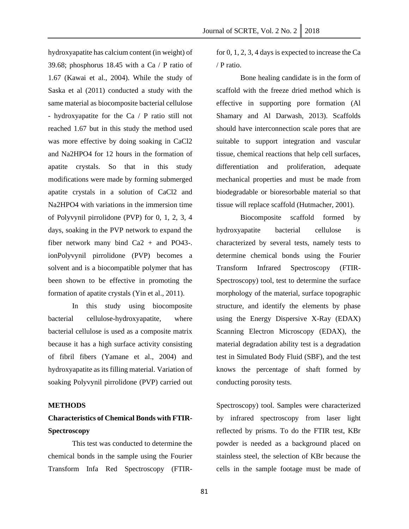hydroxyapatite has calcium content (in weight) of 39.68; phosphorus 18.45 with a Ca / P ratio of 1.67 (Kawai et al., 2004). While the study of Saska et al (2011) conducted a study with the same material as biocomposite bacterial cellulose - hydroxyapatite for the Ca / P ratio still not reached 1.67 but in this study the method used was more effective by doing soaking in CaCl2 and Na2HPO4 for 12 hours in the formation of apatite crystals. So that in this study modifications were made by forming submerged apatite crystals in a solution of CaCl2 and Na2HPO4 with variations in the immersion time of Polyvynil pirrolidone (PVP) for 0, 1, 2, 3, 4 days, soaking in the PVP network to expand the fiber network many bind Ca2 + and PO43-. ionPolyvynil pirrolidone (PVP) becomes a solvent and is a biocompatible polymer that has been shown to be effective in promoting the formation of apatite crystals (Yin et al., 2011).

In this study using biocomposite bacterial cellulose-hydroxyapatite, where bacterial cellulose is used as a composite matrix because it has a high surface activity consisting of fibril fibers (Yamane et al., 2004) and hydroxyapatite as its filling material. Variation of soaking Polyvynil pirrolidone (PVP) carried out

#### **METHODS**

# **Characteristics of Chemical Bonds with FTIR-Spectroscopy**

This test was conducted to determine the chemical bonds in the sample using the Fourier Transform Infa Red Spectroscopy (FTIR-

for 0, 1, 2, 3, 4 days is expected to increase the Ca / P ratio.

Bone healing candidate is in the form of scaffold with the freeze dried method which is effective in supporting pore formation (Al Shamary and Al Darwash, 2013). Scaffolds should have interconnection scale pores that are suitable to support integration and vascular tissue, chemical reactions that help cell surfaces, differentiation and proliferation, adequate mechanical properties and must be made from biodegradable or bioresorbable material so that tissue will replace scaffold (Hutmacher, 2001).

Biocomposite scaffold formed by hydroxyapatite bacterial cellulose is characterized by several tests, namely tests to determine chemical bonds using the Fourier Transform Infrared Spectroscopy (FTIR-Spectroscopy) tool, test to determine the surface morphology of the material, surface topographic structure, and identify the elements by phase using the Energy Dispersive X-Ray (EDAX) Scanning Electron Microscopy (EDAX), the material degradation ability test is a degradation test in Simulated Body Fluid (SBF), and the test knows the percentage of shaft formed by conducting porosity tests.

Spectroscopy) tool. Samples were characterized by infrared spectroscopy from laser light reflected by prisms. To do the FTIR test, KBr powder is needed as a background placed on stainless steel, the selection of KBr because the cells in the sample footage must be made of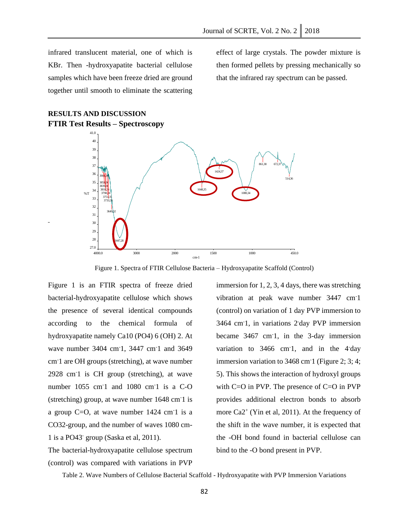infrared translucent material, one of which is KBr. Then -hydroxyapatite bacterial cellulose samples which have been freeze dried are ground together until smooth to eliminate the scattering

**RESULTS AND DISCUSSION**

effect of large crystals. The powder mixture is then formed pellets by pressing mechanically so that the infrared ray spectrum can be passed.

#### **FTIR Test Results – Spectroscopy** 4000.0 3000 3000 2000 1500 1500 1000 450.0 27.0 28 29 30 31 32 33 34 35 36 37 38 39 40 41.0 cm-1 %T 3901,36 3854,36 3839,36 3818,36 3798.<sup>36</sup> 3751,35 3733,35 3649,32 3447,28 1648,35 1424,37 1080,34 861,38 672,37 514,36

Figure 1. Spectra of FTIR Cellulose Bacteria – Hydroxyapatite Scaffold (Control)

Figure 1 is an FTIR spectra of freeze dried bacterial-hydroxyapatite cellulose which shows the presence of several identical compounds according to the chemical formula of hydroxyapatite namely Ca10 (PO4) 6 (OH) 2. At wave number 3404 cm<sup>-1</sup>, 3447 cm<sup>-1</sup> and 3649 cm-1 are OH groups (stretching), at wave number 2928 cm-1 is CH group (stretching), at wave number 1055 cm<sup>-1</sup> and 1080 cm<sup>-1</sup> is a C-O (stretching) group, at wave number 1648 cm-1 is a group  $C=O$ , at wave number 1424 cm<sup>-1</sup> is a CO32-group, and the number of waves 1080 cm-1 is a PO43- group (Saska et al, 2011).

The bacterial-hydroxyapatite cellulose spectrum (control) was compared with variations in PVP

immersion for 1, 2, 3, 4 days, there was stretching vibration at peak wave number 3447 cm-1 (control) on variation of 1 day PVP immersion to 3464 cm-1, in variations 2-day PVP immersion became 3467 cm-1, in the 3-day immersion variation to 3466 cm<sup>-1</sup>, and in the 4<sup>-</sup>day immersion variation to 3468 cm<sup>-1</sup> (Figure 2; 3; 4; 5). This shows the interaction of hydroxyl groups with C=O in PVP. The presence of C=O in PVP provides additional electron bonds to absorb more Ca2<sup>+</sup> (Yin et al, 2011). At the frequency of the shift in the wave number, it is expected that the -OH bond found in bacterial cellulose can bind to the -O bond present in PVP.

Table 2. Wave Numbers of Cellulose Bacterial Scaffold - Hydroxyapatite with PVP Immersion Variations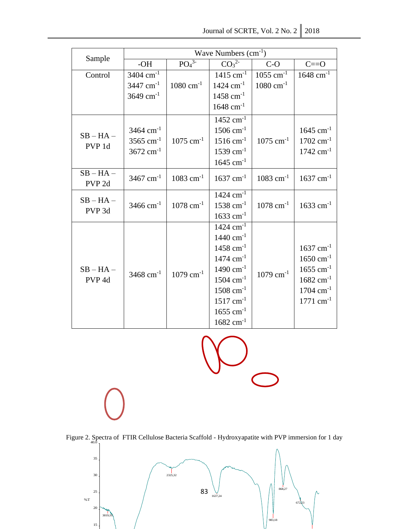| Journal of SCRTE, Vol. 2 No. 2 $\parallel$ 2018 |  |  |
|-------------------------------------------------|--|--|
|-------------------------------------------------|--|--|

| Sample                           | Wave Numbers $(cm-1)$   |                              |                              |                         |                         |  |
|----------------------------------|-------------------------|------------------------------|------------------------------|-------------------------|-------------------------|--|
|                                  | $-OH$                   | PO <sub>4</sub> <sup>3</sup> | CO <sub>3</sub> <sup>2</sup> | $C-O$                   | $C = 0$                 |  |
| Control                          | $3404$ cm <sup>-1</sup> |                              | $1415$ cm <sup>-1</sup>      | $1055$ cm <sup>-1</sup> | $1648$ cm <sup>-1</sup> |  |
|                                  | $3447$ cm <sup>-1</sup> | $1080 \text{ cm}^{-1}$       | $1424$ cm <sup>-1</sup>      | $1080 \text{ cm}^{-1}$  |                         |  |
|                                  | 3649 $cm^{-1}$          |                              | $1458$ cm <sup>-1</sup>      |                         |                         |  |
|                                  |                         |                              | $1648$ cm <sup>-1</sup>      |                         |                         |  |
| $SB - HA -$<br>PVP 1d            |                         |                              | $1452$ cm <sup>-1</sup>      |                         |                         |  |
|                                  | $3464$ cm <sup>-1</sup> |                              | $1506$ cm <sup>-1</sup>      |                         | $1645$ cm <sup>-1</sup> |  |
|                                  | 3565 cm <sup>-1</sup>   | $1075$ cm <sup>-1</sup>      | $1516$ cm <sup>-1</sup>      | $1075$ cm <sup>-1</sup> | $1702$ cm <sup>-1</sup> |  |
|                                  | $3672$ cm <sup>-1</sup> |                              | $1539$ cm <sup>-1</sup>      |                         | $1742$ cm <sup>-1</sup> |  |
|                                  |                         |                              | $1645$ cm <sup>-1</sup>      |                         |                         |  |
| $SB - HA -$                      | 3467 $cm^{-1}$          | $1083$ cm <sup>-1</sup>      | $1637$ cm <sup>-1</sup>      | $1083$ cm <sup>-1</sup> | $1637$ cm <sup>-1</sup> |  |
| PVP <sub>2d</sub>                |                         |                              |                              |                         |                         |  |
| $SB - HA -$                      |                         |                              | $1424$ cm <sup>-1</sup>      |                         |                         |  |
| PVP <sub>3d</sub>                | $3466$ cm <sup>-1</sup> | $1078$ cm <sup>-1</sup>      | $1538$ cm <sup>-1</sup>      | $1078$ cm <sup>-1</sup> | $1633$ cm <sup>-1</sup> |  |
|                                  |                         |                              | $1633$ cm <sup>-1</sup>      |                         |                         |  |
| $SB - HA -$<br>PVP <sub>4d</sub> |                         |                              | $1424$ cm <sup>-1</sup>      |                         |                         |  |
|                                  | $3468$ cm <sup>-1</sup> | $1079$ cm <sup>-1</sup>      | $1440 \text{ cm}^{-1}$       |                         |                         |  |
|                                  |                         |                              | $1458$ cm <sup>-1</sup>      |                         | $1637$ cm <sup>-1</sup> |  |
|                                  |                         |                              | $1474$ cm <sup>-1</sup>      |                         | $1650 \text{ cm}^{-1}$  |  |
|                                  |                         |                              | $1490 \text{ cm}^{-1}$       | $1079$ cm <sup>-1</sup> | $1655$ cm <sup>-1</sup> |  |
|                                  |                         |                              | $1504 \text{ cm}^{-1}$       |                         | $1682 \text{ cm}^{-1}$  |  |
|                                  |                         |                              | $1508$ cm <sup>-1</sup>      |                         | $1704 \text{ cm}^{-1}$  |  |
|                                  |                         |                              | $1517$ cm <sup>-1</sup>      |                         | $1771$ cm <sup>-1</sup> |  |
|                                  |                         |                              | $1655$ cm <sup>-1</sup>      |                         |                         |  |
|                                  |                         |                              | $1682 \text{ cm}^{-1}$       |                         |                         |  |



Figure 2. Spectra of FTIR Cellulose Bacteria Scaffold - Hydroxyapatite with PVP immersion for 1 day

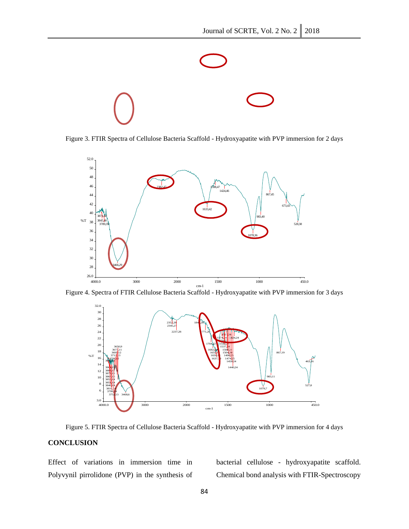

Figure 3. FTIR Spectra of Cellulose Bacteria Scaffold - Hydroxyapatite with PVP immersion for 2 days



Figure 4. Spectra of FTIR Cellulose Bacteria Scaffold - Hydroxyapatite with PVP immersion for 3 days



Figure 5. FTIR Spectra of Cellulose Bacteria Scaffold - Hydroxyapatite with PVP immersion for 4 days

### **CONCLUSION**

Effect of variations in immersion time in Polyvynil pirrolidone (PVP) in the synthesis of bacterial cellulose - hydroxyapatite scaffold. Chemical bond analysis with FTIR-Spectroscopy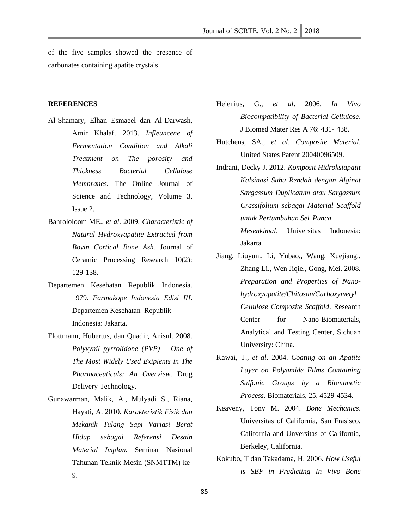of the five samples showed the presence of carbonates containing apatite crystals.

#### **REFERENCES**

- Al-Shamary, Elhan Esmaeel dan Al-Darwash, Amir Khalaf. 2013. *Infleuncene of Fermentation Condition and Alkali Treatment on The porosity and Thickness Bacterial Cellulose Membranes.* The Online Journal of Science and Technology, Volume 3, Issue 2.
- Bahrololoom ME., *et al*. 2009. *Characteristic of Natural Hydroxyapatite Extracted from Bovin Cortical Bone Ash.* Journal of Ceramic Processing Research 10(2): 129-138.
- Departemen Kesehatan Republik Indonesia. 1979. *Farmakope Indonesia Edisi III*. Departemen Kesehatan Republik Indonesia: Jakarta.
- Flottmann, Hubertus, dan Quadir, Anisul. 2008. *Polyvynil pyrrolidone (PVP) – One of The Most Widely Used Exipients in The Pharmaceuticals: An Overview.* Drug Delivery Technology.
- Gunawarman, Malik, A., Mulyadi S., Riana, Hayati, A. 2010. *Karakteristik Fisik dan Mekanik Tulang Sapi Variasi Berat Hidup sebagai Referensi Desain Material Implan.* Seminar Nasional Tahunan Teknik Mesin (SNMTTM) ke-9.
- Helenius, G., *et al*. 2006. *In Vivo Biocompatibility of Bacterial Cellulose*. J Biomed Mater Res A 76: 431- 438.
- Hutchens, SA., *et al*. *Composite Material*. United States Patent 20040096509.
- Indrani, Decky J. 2012. *Komposit Hidroksiapatit Kalsinasi Suhu Rendah dengan Alginat Sargassum Duplicatum atau Sargassum Crassifolium sebagai Material Scaffold untuk Pertumbuhan Sel Punca Mesenkimal*. Universitas Indonesia: Jakarta.
- Jiang, Liuyun., Li, Yubao., Wang, Xuejiang., Zhang Li., Wen Jiqie., Gong, Mei. 2008*. Preparation and Properties of Nanohydroxyapatite/Chitosan/Carboxymetyl Cellulose Composite Scaffold*. Research Center for Nano-Biomaterials. Analytical and Testing Center, Sichuan University: China.
- Kawai, T., *et al*. 2004. *Coating on an Apatite Layer on Polyamide Films Containing Sulfonic Groups by a Biomimetic Process.* Biomaterials, 25, 4529-4534.
- Keaveny, Tony M. 2004. *Bone Mechanics*. Universitas of California, San Frasisco, California and Unversitas of California, Berkeley, California.
- Kokubo, T dan Takadama, H. 2006. *How Useful is SBF in Predicting In Vivo Bone*